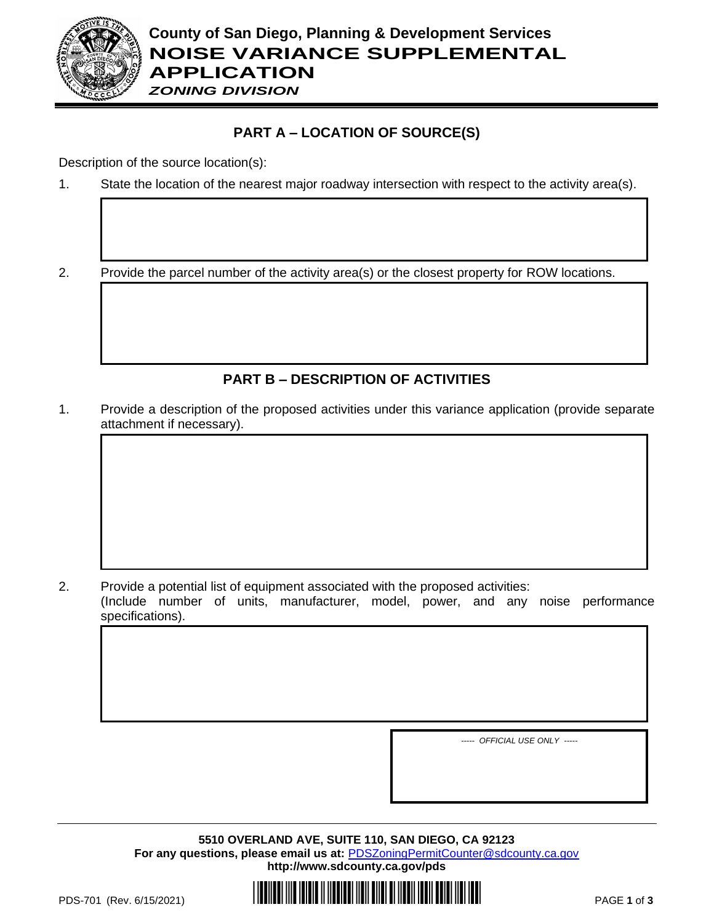

*ZONING DIVISION*

## **PART A – LOCATION OF SOURCE(S)**

Description of the source location(s):

1. State the location of the nearest major roadway intersection with respect to the activity area(s).

2. Provide the parcel number of the activity area(s) or the closest property for ROW locations.

# **PART B – DESCRIPTION OF ACTIVITIES**

1. Provide a description of the proposed activities under this variance application (provide separate attachment if necessary).

2. Provide a potential list of equipment associated with the proposed activities: (Include number of units, manufacturer, model, power, and any noise performance specifications).

*----- OFFICIAL USE ONLY -----*

**5510 OVERLAND AVE, SUITE 110, SAN DIEGO, CA 92123** For any questions, please email us at: **[PDSZoningPermitCounter@sdcounty.ca.gov](mailto:PDSZoningPermitCounter@sdcounty.ca.gov) <http://www.sdcounty.ca.gov/pds>**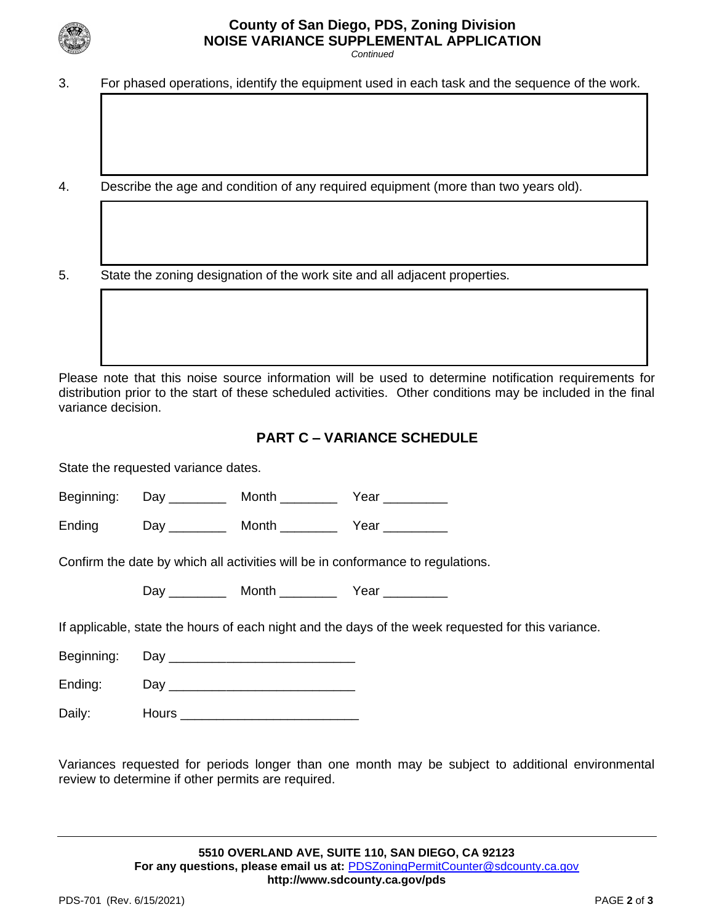

### **County of San Diego, PDS, Zoning Division NOISE VARIANCE SUPPLEMENTAL APPLICATION**

*Continued*

- 3. For phased operations, identify the equipment used in each task and the sequence of the work.
- 4. Describe the age and condition of any required equipment (more than two years old).

5. State the zoning designation of the work site and all adjacent properties.

Please note that this noise source information will be used to determine notification requirements for distribution prior to the start of these scheduled activities. Other conditions may be included in the final variance decision.

#### **PART C – VARIANCE SCHEDULE**

State the requested variance dates.

Beginning: Day Month Year

Ending Day Month Year

Confirm the date by which all activities will be in conformance to regulations.

Day Month Year

If applicable, state the hours of each night and the days of the week requested for this variance.

Beginning: Day Day

Ending: Day \_\_\_\_\_\_\_\_\_\_\_\_\_\_\_\_\_\_\_\_\_\_\_\_\_\_

Daily: **Hours Hours Hours Hours Hours Hours** 

Variances requested for periods longer than one month may be subject to additional environmental review to determine if other permits are required.